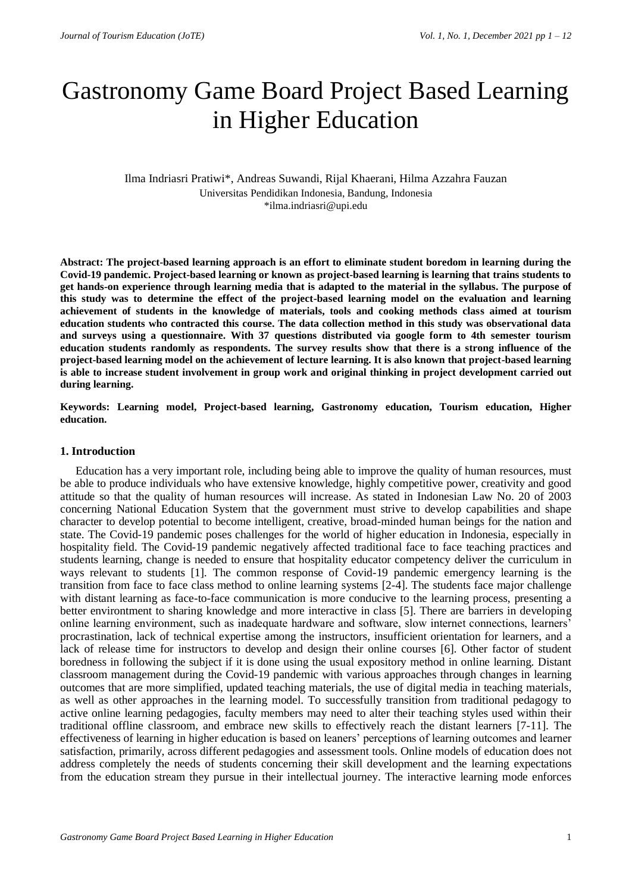# Gastronomy Game Board Project Based Learning in Higher Education

# Ilma Indriasri Pratiwi\*, Andreas Suwandi, Rijal Khaerani, Hilma Azzahra Fauzan Universitas Pendidikan Indonesia, Bandung, Indonesia \*ilma.indriasri@upi.edu

**Abstract: The project-based learning approach is an effort to eliminate student boredom in learning during the Covid-19 pandemic. Project-based learning or known as project-based learning is learning that trains students to get hands-on experience through learning media that is adapted to the material in the syllabus. The purpose of this study was to determine the effect of the project-based learning model on the evaluation and learning achievement of students in the knowledge of materials, tools and cooking methods class aimed at tourism education students who contracted this course. The data collection method in this study was observational data and surveys using a questionnaire. With 37 questions distributed via google form to 4th semester tourism education students randomly as respondents. The survey results show that there is a strong influence of the project-based learning model on the achievement of lecture learning. It is also known that project-based learning is able to increase student involvement in group work and original thinking in project development carried out during learning.**

**Keywords: Learning model, Project-based learning, Gastronomy education, Tourism education, Higher education.**

## **1. Introduction**

Education has a very important role, including being able to improve the quality of human resources, must be able to produce individuals who have extensive knowledge, highly competitive power, creativity and good attitude so that the quality of human resources will increase. As stated in Indonesian Law No. 20 of 2003 concerning National Education System that the government must strive to develop capabilities and shape character to develop potential to become intelligent, creative, broad-minded human beings for the nation and state. The Covid-19 pandemic poses challenges for the world of higher education in Indonesia, especially in hospitality field. The Covid-19 pandemic negatively affected traditional face to face teaching practices and students learning, change is needed to ensure that hospitality educator competency deliver the curriculum in ways relevant to students [1]. The common response of Covid-19 pandemic emergency learning is the transition from face to face class method to online learning systems [2-4]. The students face major challenge with distant learning as face-to-face communication is more conducive to the learning process, presenting a better environtment to sharing knowledge and more interactive in class [5]. There are barriers in developing online learning environment, such as inadequate hardware and software, slow internet connections, learners' procrastination, lack of technical expertise among the instructors, insufficient orientation for learners, and a lack of release time for instructors to develop and design their online courses [6]. Other factor of student boredness in following the subject if it is done using the usual expository method in online learning. Distant classroom management during the Covid-19 pandemic with various approaches through changes in learning outcomes that are more simplified, updated teaching materials, the use of digital media in teaching materials, as well as other approaches in the learning model. To successfully transition from traditional pedagogy to active online learning pedagogies, faculty members may need to alter their teaching styles used within their traditional offline classroom, and embrace new skills to effectively reach the distant learners [7-11]. The effectiveness of learning in higher education is based on leaners' perceptions of learning outcomes and learner satisfaction, primarily, across different pedagogies and assessment tools. Online models of education does not address completely the needs of students concerning their skill development and the learning expectations from the education stream they pursue in their intellectual journey. The interactive learning mode enforces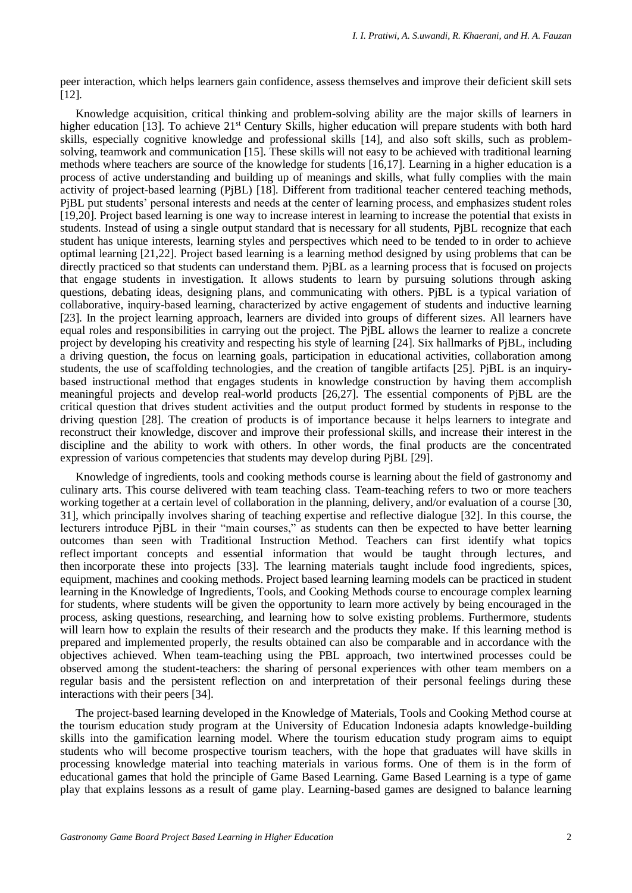peer interaction, which helps learners gain confidence, assess themselves and improve their deficient skill sets [12].

Knowledge acquisition, critical thinking and problem-solving ability are the major skills of learners in higher education [13]. To achieve 21<sup>st</sup> Century Skills, higher education will prepare students with both hard skills, especially cognitive knowledge and professional skills [14], and also soft skills, such as problemsolving, teamwork and communication [15]. These skills will not easy to be achieved with traditional learning methods where teachers are source of the knowledge for students [16,17]. Learning in a higher education is a process of active understanding and building up of meanings and skills, what fully complies with the main activity of project-based learning (PjBL) [18]. Different from traditional teacher centered teaching methods, PjBL put students' personal interests and needs at the center of learning process, and emphasizes student roles [19,20]. Project based learning is one way to increase interest in learning to increase the potential that exists in students. Instead of using a single output standard that is necessary for all students, PjBL recognize that each student has unique interests, learning styles and perspectives which need to be tended to in order to achieve optimal learning [21,22]. Project based learning is a learning method designed by using problems that can be directly practiced so that students can understand them. PjBL as a learning process that is focused on projects that engage students in investigation. It allows students to learn by pursuing solutions through asking questions, debating ideas, designing plans, and communicating with others. PjBL is a typical variation of collaborative, inquiry-based learning, characterized by active engagement of students and inductive learning [23]. In the project learning approach, learners are divided into groups of different sizes. All learners have equal roles and responsibilities in carrying out the project. The PjBL allows the learner to realize a concrete project by developing his creativity and respecting his style of learning [24]. Six hallmarks of PjBL, including a driving question, the focus on learning goals, participation in educational activities, collaboration among students, the use of scaffolding technologies, and the creation of tangible artifacts [25]. PjBL is an inquirybased instructional method that engages students in knowledge construction by having them accomplish meaningful projects and develop real-world products [26,27]. The essential components of PjBL are the critical question that drives student activities and the output product formed by students in response to the driving question [28]. The creation of products is of importance because it helps learners to integrate and reconstruct their knowledge, discover and improve their professional skills, and increase their interest in the discipline and the ability to work with others. In other words, the final products are the concentrated expression of various competencies that students may develop during PjBL [29].

Knowledge of ingredients, tools and cooking methods course is learning about the field of gastronomy and culinary arts. This course delivered with team teaching class. Team-teaching refers to two or more teachers working together at a certain level of collaboration in the planning, delivery, and/or evaluation of a course [30, 31], which principally involves sharing of teaching expertise and reflective dialogue [32]. In this course, the lecturers introduce PjBL in their "main courses," as students can then be expected to have better learning outcomes than seen with Traditional Instruction Method. Teachers can first identify what topics reflect important concepts and essential information that would be taught through lectures, and then incorporate these into projects [33]. The learning materials taught include food ingredients, spices, equipment, machines and cooking methods. Project based learning learning models can be practiced in student learning in the Knowledge of Ingredients, Tools, and Cooking Methods course to encourage complex learning for students, where students will be given the opportunity to learn more actively by being encouraged in the process, asking questions, researching, and learning how to solve existing problems. Furthermore, students will learn how to explain the results of their research and the products they make. If this learning method is prepared and implemented properly, the results obtained can also be comparable and in accordance with the objectives achieved. When team-teaching using the PBL approach, two intertwined processes could be observed among the student-teachers: the sharing of personal experiences with other team members on a regular basis and the persistent reflection on and interpretation of their personal feelings during these interactions with their peers [34].

The project-based learning developed in the Knowledge of Materials, Tools and Cooking Method course at the tourism education study program at the University of Education Indonesia adapts knowledge-building skills into the gamification learning model. Where the tourism education study program aims to equipt students who will become prospective tourism teachers, with the hope that graduates will have skills in processing knowledge material into teaching materials in various forms. One of them is in the form of educational games that hold the principle of Game Based Learning. Game Based Learning is a type of game play that explains lessons as a result of game play. Learning-based games are designed to balance learning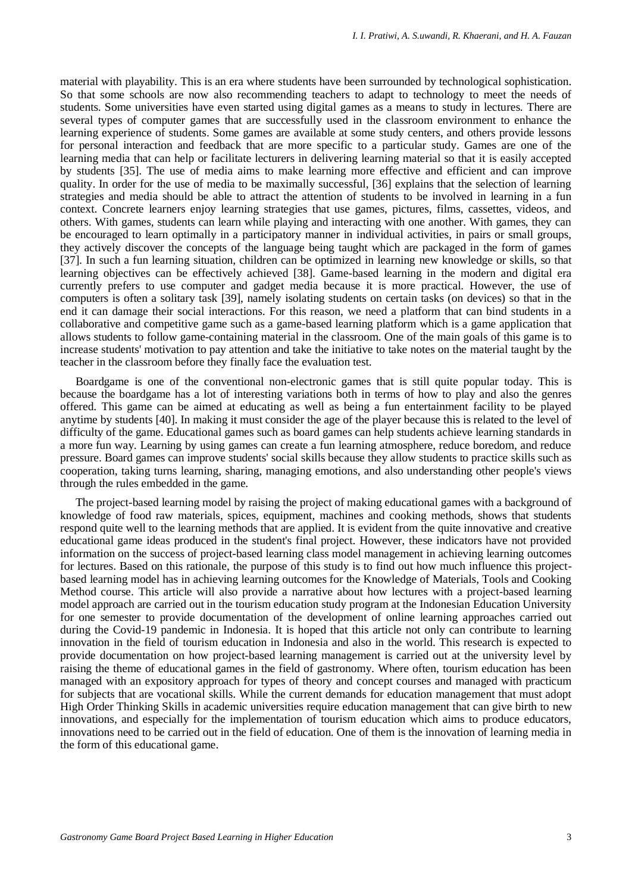material with playability. This is an era where students have been surrounded by technological sophistication. So that some schools are now also recommending teachers to adapt to technology to meet the needs of students. Some universities have even started using digital games as a means to study in lectures. There are several types of computer games that are successfully used in the classroom environment to enhance the learning experience of students. Some games are available at some study centers, and others provide lessons for personal interaction and feedback that are more specific to a particular study. Games are one of the learning media that can help or facilitate lecturers in delivering learning material so that it is easily accepted by students [35]. The use of media aims to make learning more effective and efficient and can improve quality. In order for the use of media to be maximally successful, [36] explains that the selection of learning strategies and media should be able to attract the attention of students to be involved in learning in a fun context. Concrete learners enjoy learning strategies that use games, pictures, films, cassettes, videos, and others. With games, students can learn while playing and interacting with one another. With games, they can be encouraged to learn optimally in a participatory manner in individual activities, in pairs or small groups, they actively discover the concepts of the language being taught which are packaged in the form of games [37]. In such a fun learning situation, children can be optimized in learning new knowledge or skills, so that learning objectives can be effectively achieved [38]. Game-based learning in the modern and digital era currently prefers to use computer and gadget media because it is more practical. However, the use of computers is often a solitary task [39], namely isolating students on certain tasks (on devices) so that in the end it can damage their social interactions. For this reason, we need a platform that can bind students in a collaborative and competitive game such as a game-based learning platform which is a game application that allows students to follow game-containing material in the classroom. One of the main goals of this game is to increase students' motivation to pay attention and take the initiative to take notes on the material taught by the teacher in the classroom before they finally face the evaluation test.

Boardgame is one of the conventional non-electronic games that is still quite popular today. This is because the boardgame has a lot of interesting variations both in terms of how to play and also the genres offered. This game can be aimed at educating as well as being a fun entertainment facility to be played anytime by students [40]. In making it must consider the age of the player because this is related to the level of difficulty of the game. Educational games such as board games can help students achieve learning standards in a more fun way. Learning by using games can create a fun learning atmosphere, reduce boredom, and reduce pressure. Board games can improve students' social skills because they allow students to practice skills such as cooperation, taking turns learning, sharing, managing emotions, and also understanding other people's views through the rules embedded in the game.

The project-based learning model by raising the project of making educational games with a background of knowledge of food raw materials, spices, equipment, machines and cooking methods, shows that students respond quite well to the learning methods that are applied. It is evident from the quite innovative and creative educational game ideas produced in the student's final project. However, these indicators have not provided information on the success of project-based learning class model management in achieving learning outcomes for lectures. Based on this rationale, the purpose of this study is to find out how much influence this projectbased learning model has in achieving learning outcomes for the Knowledge of Materials, Tools and Cooking Method course. This article will also provide a narrative about how lectures with a project-based learning model approach are carried out in the tourism education study program at the Indonesian Education University for one semester to provide documentation of the development of online learning approaches carried out during the Covid-19 pandemic in Indonesia. It is hoped that this article not only can contribute to learning innovation in the field of tourism education in Indonesia and also in the world. This research is expected to provide documentation on how project-based learning management is carried out at the university level by raising the theme of educational games in the field of gastronomy. Where often, tourism education has been managed with an expository approach for types of theory and concept courses and managed with practicum for subjects that are vocational skills. While the current demands for education management that must adopt High Order Thinking Skills in academic universities require education management that can give birth to new innovations, and especially for the implementation of tourism education which aims to produce educators, innovations need to be carried out in the field of education. One of them is the innovation of learning media in the form of this educational game.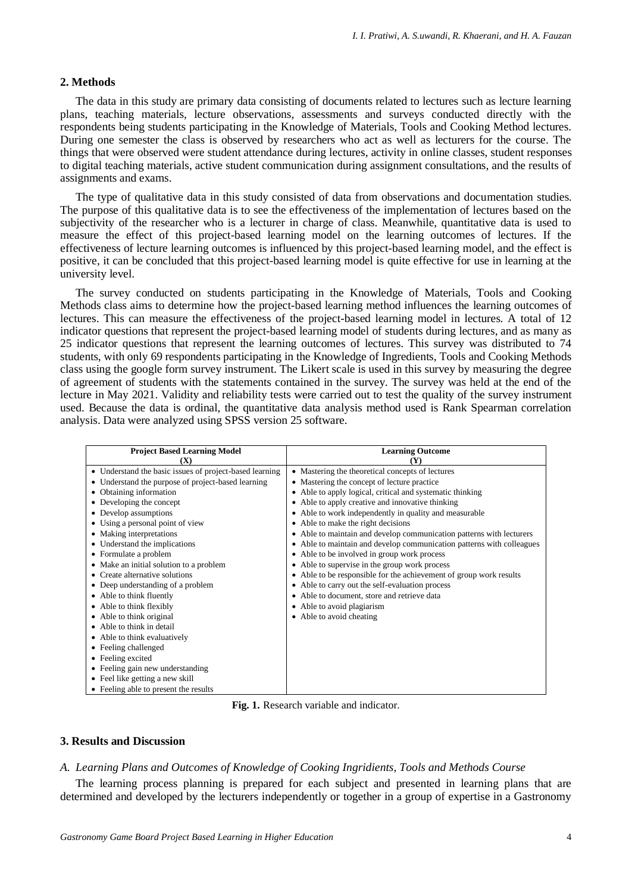### **2. Methods**

The data in this study are primary data consisting of documents related to lectures such as lecture learning plans, teaching materials, lecture observations, assessments and surveys conducted directly with the respondents being students participating in the Knowledge of Materials, Tools and Cooking Method lectures. During one semester the class is observed by researchers who act as well as lecturers for the course. The things that were observed were student attendance during lectures, activity in online classes, student responses to digital teaching materials, active student communication during assignment consultations, and the results of assignments and exams.

The type of qualitative data in this study consisted of data from observations and documentation studies. The purpose of this qualitative data is to see the effectiveness of the implementation of lectures based on the subjectivity of the researcher who is a lecturer in charge of class. Meanwhile, quantitative data is used to measure the effect of this project-based learning model on the learning outcomes of lectures. If the effectiveness of lecture learning outcomes is influenced by this project-based learning model, and the effect is positive, it can be concluded that this project-based learning model is quite effective for use in learning at the university level.

The survey conducted on students participating in the Knowledge of Materials, Tools and Cooking Methods class aims to determine how the project-based learning method influences the learning outcomes of lectures. This can measure the effectiveness of the project-based learning model in lectures. A total of 12 indicator questions that represent the project-based learning model of students during lectures, and as many as 25 indicator questions that represent the learning outcomes of lectures. This survey was distributed to 74 students, with only 69 respondents participating in the Knowledge of Ingredients, Tools and Cooking Methods class using the google form survey instrument. The Likert scale is used in this survey by measuring the degree of agreement of students with the statements contained in the survey. The survey was held at the end of the lecture in May 2021. Validity and reliability tests were carried out to test the quality of the survey instrument used. Because the data is ordinal, the quantitative data analysis method used is Rank Spearman correlation analysis. Data were analyzed using SPSS version 25 software.

| <b>Project Based Learning Model</b><br><b>Learning Outcome</b> |                                                                       |  |  |
|----------------------------------------------------------------|-----------------------------------------------------------------------|--|--|
| (X)                                                            |                                                                       |  |  |
| • Understand the basic issues of project-based learning        | • Mastering the theoretical concepts of lectures                      |  |  |
| • Understand the purpose of project-based learning             | • Mastering the concept of lecture practice                           |  |  |
| Obtaining information                                          | • Able to apply logical, critical and systematic thinking             |  |  |
| Developing the concept                                         | • Able to apply creative and innovative thinking                      |  |  |
| • Develop assumptions                                          | • Able to work independently in quality and measurable                |  |  |
| Using a personal point of view                                 | • Able to make the right decisions                                    |  |  |
| • Making interpretations                                       | • Able to maintain and develop communication patterns with lecturers  |  |  |
| • Understand the implications                                  | • Able to maintain and develop communication patterns with colleagues |  |  |
| • Formulate a problem                                          | • Able to be involved in group work process                           |  |  |
| • Make an initial solution to a problem                        | • Able to supervise in the group work process                         |  |  |
| • Create alternative solutions                                 | • Able to be responsible for the achievement of group work results    |  |  |
| • Deep understanding of a problem                              | • Able to carry out the self-evaluation process                       |  |  |
| • Able to think fluently                                       | • Able to document, store and retrieve data                           |  |  |
| • Able to think flexibly                                       | • Able to avoid plagiarism                                            |  |  |
| • Able to think original                                       | • Able to avoid cheating                                              |  |  |
| • Able to think in detail                                      |                                                                       |  |  |
| • Able to think evaluatively                                   |                                                                       |  |  |
| • Feeling challenged                                           |                                                                       |  |  |
| • Feeling excited                                              |                                                                       |  |  |
| • Feeling gain new understanding                               |                                                                       |  |  |
| • Feel like getting a new skill                                |                                                                       |  |  |
| • Feeling able to present the results                          |                                                                       |  |  |

**Fig. 1.** Research variable and indicator.

### **3. Results and Discussion**

#### *A. Learning Plans and Outcomes of Knowledge of Cooking Ingridients, Tools and Methods Course*

The learning process planning is prepared for each subject and presented in learning plans that are determined and developed by the lecturers independently or together in a group of expertise in a Gastronomy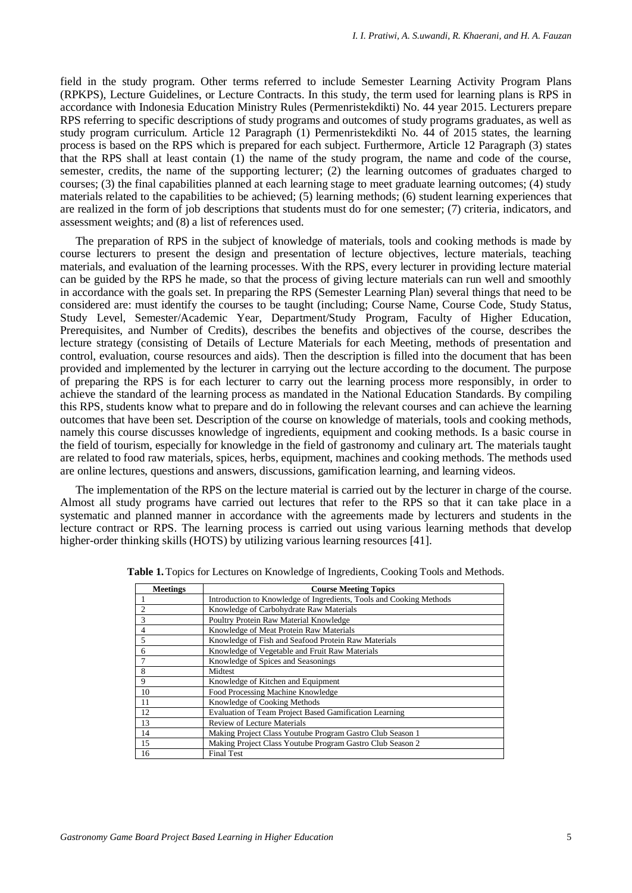field in the study program. Other terms referred to include Semester Learning Activity Program Plans (RPKPS), Lecture Guidelines, or Lecture Contracts. In this study, the term used for learning plans is RPS in accordance with Indonesia Education Ministry Rules (Permenristekdikti) No. 44 year 2015. Lecturers prepare RPS referring to specific descriptions of study programs and outcomes of study programs graduates, as well as study program curriculum. Article 12 Paragraph (1) Permenristekdikti No. 44 of 2015 states, the learning process is based on the RPS which is prepared for each subject. Furthermore, Article 12 Paragraph (3) states that the RPS shall at least contain  $(1)$  the name of the study program, the name and code of the course, semester, credits, the name of the supporting lecturer; (2) the learning outcomes of graduates charged to courses; (3) the final capabilities planned at each learning stage to meet graduate learning outcomes; (4) study materials related to the capabilities to be achieved; (5) learning methods; (6) student learning experiences that are realized in the form of job descriptions that students must do for one semester; (7) criteria, indicators, and assessment weights; and (8) a list of references used.

The preparation of RPS in the subject of knowledge of materials, tools and cooking methods is made by course lecturers to present the design and presentation of lecture objectives, lecture materials, teaching materials, and evaluation of the learning processes. With the RPS, every lecturer in providing lecture material can be guided by the RPS he made, so that the process of giving lecture materials can run well and smoothly in accordance with the goals set. In preparing the RPS (Semester Learning Plan) several things that need to be considered are: must identify the courses to be taught (including; Course Name, Course Code, Study Status, Study Level, Semester/Academic Year, Department/Study Program, Faculty of Higher Education, Prerequisites, and Number of Credits), describes the benefits and objectives of the course, describes the lecture strategy (consisting of Details of Lecture Materials for each Meeting, methods of presentation and control, evaluation, course resources and aids). Then the description is filled into the document that has been provided and implemented by the lecturer in carrying out the lecture according to the document. The purpose of preparing the RPS is for each lecturer to carry out the learning process more responsibly, in order to achieve the standard of the learning process as mandated in the National Education Standards. By compiling this RPS, students know what to prepare and do in following the relevant courses and can achieve the learning outcomes that have been set. Description of the course on knowledge of materials, tools and cooking methods, namely this course discusses knowledge of ingredients, equipment and cooking methods. Is a basic course in the field of tourism, especially for knowledge in the field of gastronomy and culinary art. The materials taught are related to food raw materials, spices, herbs, equipment, machines and cooking methods. The methods used are online lectures, questions and answers, discussions, gamification learning, and learning videos.

The implementation of the RPS on the lecture material is carried out by the lecturer in charge of the course. Almost all study programs have carried out lectures that refer to the RPS so that it can take place in a systematic and planned manner in accordance with the agreements made by lecturers and students in the lecture contract or RPS. The learning process is carried out using various learning methods that develop higher-order thinking skills (HOTS) by utilizing various learning resources [41].

| <b>Meetings</b> | <b>Course Meeting Topics</b>                                        |  |  |
|-----------------|---------------------------------------------------------------------|--|--|
|                 | Introduction to Knowledge of Ingredients, Tools and Cooking Methods |  |  |
| $\overline{2}$  | Knowledge of Carbohydrate Raw Materials                             |  |  |
| $\overline{3}$  | Poultry Protein Raw Material Knowledge                              |  |  |
| $\overline{4}$  | Knowledge of Meat Protein Raw Materials                             |  |  |
| 5               | Knowledge of Fish and Seafood Protein Raw Materials                 |  |  |
| 6               | Knowledge of Vegetable and Fruit Raw Materials                      |  |  |
| $7\phantom{.0}$ | Knowledge of Spices and Seasonings                                  |  |  |
| 8               | Midtest                                                             |  |  |
| 9               | Knowledge of Kitchen and Equipment                                  |  |  |
| 10              | Food Processing Machine Knowledge                                   |  |  |
| 11              | Knowledge of Cooking Methods                                        |  |  |
| 12              | Evaluation of Team Project Based Gamification Learning              |  |  |
| 13              | Review of Lecture Materials                                         |  |  |
| 14              | Making Project Class Youtube Program Gastro Club Season 1           |  |  |
| 15              | Making Project Class Youtube Program Gastro Club Season 2           |  |  |
| 16              | <b>Final Test</b>                                                   |  |  |

**Table 1.** Topics for Lectures on Knowledge of Ingredients, Cooking Tools and Methods.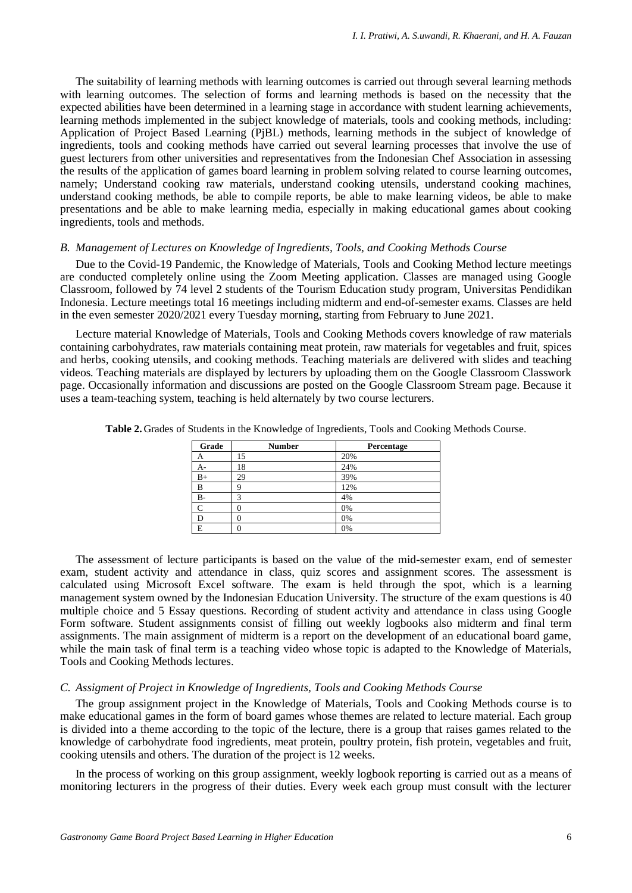The suitability of learning methods with learning outcomes is carried out through several learning methods with learning outcomes. The selection of forms and learning methods is based on the necessity that the expected abilities have been determined in a learning stage in accordance with student learning achievements, learning methods implemented in the subject knowledge of materials, tools and cooking methods, including: Application of Project Based Learning (PjBL) methods, learning methods in the subject of knowledge of ingredients, tools and cooking methods have carried out several learning processes that involve the use of guest lecturers from other universities and representatives from the Indonesian Chef Association in assessing the results of the application of games board learning in problem solving related to course learning outcomes, namely; Understand cooking raw materials, understand cooking utensils, understand cooking machines, understand cooking methods, be able to compile reports, be able to make learning videos, be able to make presentations and be able to make learning media, especially in making educational games about cooking ingredients, tools and methods.

## *B. Management of Lectures on Knowledge of Ingredients, Tools, and Cooking Methods Course*

Due to the Covid-19 Pandemic, the Knowledge of Materials, Tools and Cooking Method lecture meetings are conducted completely online using the Zoom Meeting application. Classes are managed using Google Classroom, followed by 74 level 2 students of the Tourism Education study program, Universitas Pendidikan Indonesia. Lecture meetings total 16 meetings including midterm and end-of-semester exams. Classes are held in the even semester 2020/2021 every Tuesday morning, starting from February to June 2021.

Lecture material Knowledge of Materials, Tools and Cooking Methods covers knowledge of raw materials containing carbohydrates, raw materials containing meat protein, raw materials for vegetables and fruit, spices and herbs, cooking utensils, and cooking methods. Teaching materials are delivered with slides and teaching videos. Teaching materials are displayed by lecturers by uploading them on the Google Classroom Classwork page. Occasionally information and discussions are posted on the Google Classroom Stream page. Because it uses a team-teaching system, teaching is held alternately by two course lecturers.

| Grade        | <b>Number</b> | Percentage |
|--------------|---------------|------------|
| А            | 15            | 20%        |
| А-           | 18            | 24%        |
| $B+$         | 29            | 39%        |
| B            |               | 12%        |
| $B -$        |               | 4%         |
| $\mathsf{C}$ |               | 0%         |
| D            |               | 0%         |
| E            |               | 0%         |

**Table 2.** Grades of Students in the Knowledge of Ingredients, Tools and Cooking Methods Course.

The assessment of lecture participants is based on the value of the mid-semester exam, end of semester exam, student activity and attendance in class, quiz scores and assignment scores. The assessment is calculated using Microsoft Excel software. The exam is held through the spot, which is a learning management system owned by the Indonesian Education University. The structure of the exam questions is 40 multiple choice and 5 Essay questions. Recording of student activity and attendance in class using Google Form software. Student assignments consist of filling out weekly logbooks also midterm and final term assignments. The main assignment of midterm is a report on the development of an educational board game, while the main task of final term is a teaching video whose topic is adapted to the Knowledge of Materials, Tools and Cooking Methods lectures.

#### *C. Assigment of Project in Knowledge of Ingredients, Tools and Cooking Methods Course*

The group assignment project in the Knowledge of Materials, Tools and Cooking Methods course is to make educational games in the form of board games whose themes are related to lecture material. Each group is divided into a theme according to the topic of the lecture, there is a group that raises games related to the knowledge of carbohydrate food ingredients, meat protein, poultry protein, fish protein, vegetables and fruit, cooking utensils and others. The duration of the project is 12 weeks.

In the process of working on this group assignment, weekly logbook reporting is carried out as a means of monitoring lecturers in the progress of their duties. Every week each group must consult with the lecturer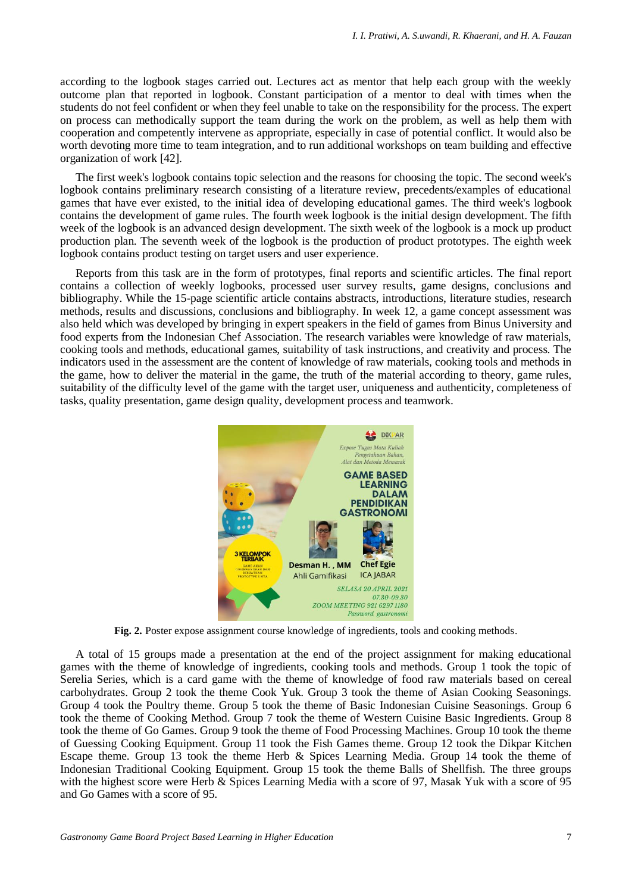according to the logbook stages carried out. Lectures act as mentor that help each group with the weekly outcome plan that reported in logbook. Constant participation of a mentor to deal with times when the students do not feel confident or when they feel unable to take on the responsibility for the process. The expert on process can methodically support the team during the work on the problem, as well as help them with cooperation and competently intervene as appropriate, especially in case of potential conflict. It would also be worth devoting more time to team integration, and to run additional workshops on team building and effective organization of work [42].

The first week's logbook contains topic selection and the reasons for choosing the topic. The second week's logbook contains preliminary research consisting of a literature review, precedents/examples of educational games that have ever existed, to the initial idea of developing educational games. The third week's logbook contains the development of game rules. The fourth week logbook is the initial design development. The fifth week of the logbook is an advanced design development. The sixth week of the logbook is a mock up product production plan. The seventh week of the logbook is the production of product prototypes. The eighth week logbook contains product testing on target users and user experience.

Reports from this task are in the form of prototypes, final reports and scientific articles. The final report contains a collection of weekly logbooks, processed user survey results, game designs, conclusions and bibliography. While the 15-page scientific article contains abstracts, introductions, literature studies, research methods, results and discussions, conclusions and bibliography. In week 12, a game concept assessment was also held which was developed by bringing in expert speakers in the field of games from Binus University and food experts from the Indonesian Chef Association. The research variables were knowledge of raw materials, cooking tools and methods, educational games, suitability of task instructions, and creativity and process. The indicators used in the assessment are the content of knowledge of raw materials, cooking tools and methods in the game, how to deliver the material in the game, the truth of the material according to theory, game rules, suitability of the difficulty level of the game with the target user, uniqueness and authenticity, completeness of tasks, quality presentation, game design quality, development process and teamwork.



**Fig. 2.** Poster expose assignment course knowledge of ingredients, tools and cooking methods.

A total of 15 groups made a presentation at the end of the project assignment for making educational games with the theme of knowledge of ingredients, cooking tools and methods. Group 1 took the topic of Serelia Series, which is a card game with the theme of knowledge of food raw materials based on cereal carbohydrates. Group 2 took the theme Cook Yuk. Group 3 took the theme of Asian Cooking Seasonings. Group 4 took the Poultry theme. Group 5 took the theme of Basic Indonesian Cuisine Seasonings. Group 6 took the theme of Cooking Method. Group 7 took the theme of Western Cuisine Basic Ingredients. Group 8 took the theme of Go Games. Group 9 took the theme of Food Processing Machines. Group 10 took the theme of Guessing Cooking Equipment. Group 11 took the Fish Games theme. Group 12 took the Dikpar Kitchen Escape theme. Group 13 took the theme Herb & Spices Learning Media. Group 14 took the theme of Indonesian Traditional Cooking Equipment. Group 15 took the theme Balls of Shellfish. The three groups with the highest score were Herb & Spices Learning Media with a score of 97, Masak Yuk with a score of 95 and Go Games with a score of 95.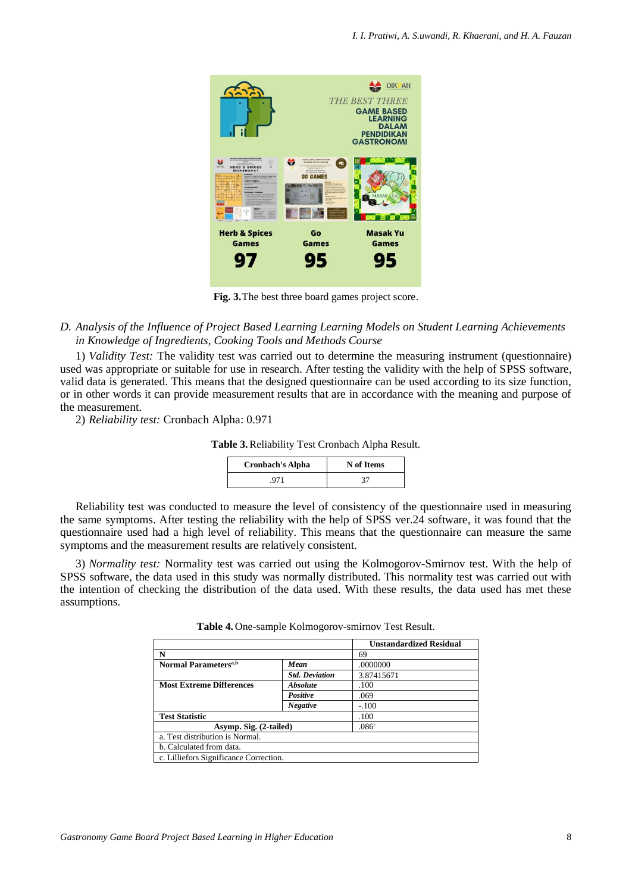

**Fig. 3.**The best three board games project score.

## *D. Analysis of the Influence of Project Based Learning Learning Models on Student Learning Achievements in Knowledge of Ingredients, Cooking Tools and Methods Course*

1) *Validity Test:* The validity test was carried out to determine the measuring instrument (questionnaire) used was appropriate or suitable for use in research. After testing the validity with the help of SPSS software, valid data is generated. This means that the designed questionnaire can be used according to its size function, or in other words it can provide measurement results that are in accordance with the meaning and purpose of the measurement.

2) *Reliability test:* Cronbach Alpha: 0.971

**Table 3.**Reliability Test Cronbach Alpha Result.

| <b>Cronbach's Alpha</b> | N of Items |  |
|-------------------------|------------|--|
| -971                    | די         |  |

Reliability test was conducted to measure the level of consistency of the questionnaire used in measuring the same symptoms. After testing the reliability with the help of SPSS ver.24 software, it was found that the questionnaire used had a high level of reliability. This means that the questionnaire can measure the same symptoms and the measurement results are relatively consistent.

3) *Normality test:* Normality test was carried out using the Kolmogorov-Smirnov test. With the help of SPSS software, the data used in this study was normally distributed. This normality test was carried out with the intention of checking the distribution of the data used. With these results, the data used has met these assumptions.

|                                        |                       | <b>Unstandardized Residual</b> |
|----------------------------------------|-----------------------|--------------------------------|
| N                                      |                       | 69                             |
| Normal Parameters <sup>a,b</sup>       | Mean                  | .0000000                       |
|                                        | <b>Std. Deviation</b> | 3.87415671                     |
| <b>Most Extreme Differences</b>        | <b>Absolute</b>       | .100                           |
|                                        | Positive              | .069                           |
|                                        | <b>Negative</b>       | $-.100$                        |
| <b>Test Statistic</b>                  |                       | .100                           |
| Asymp. Sig. (2-tailed)                 |                       | .086 <sup>c</sup>              |
| a. Test distribution is Normal.        |                       |                                |
| b. Calculated from data.               |                       |                                |
| c. Lilliefors Significance Correction. |                       |                                |

**Table 4.** One-sample Kolmogorov-smirnov Test Result.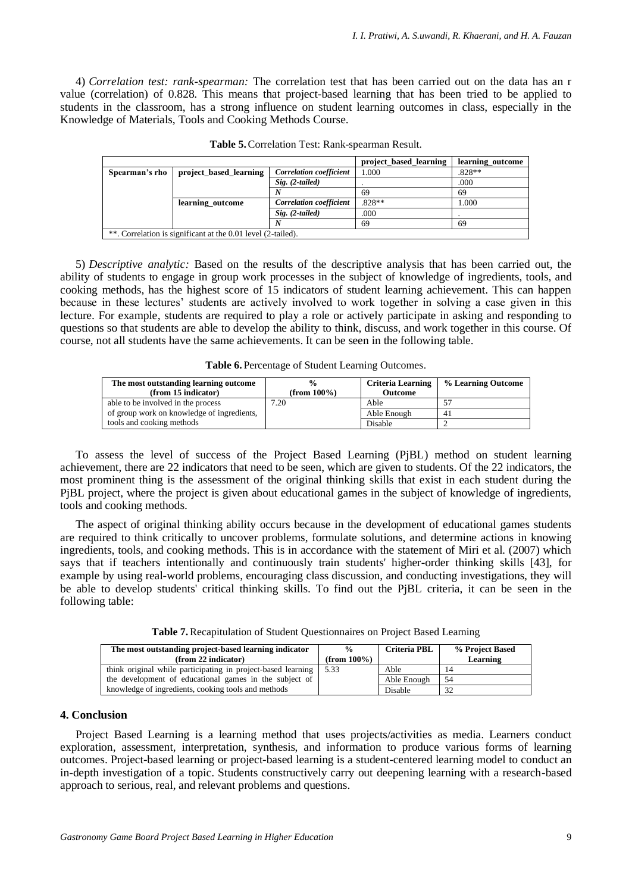4) *Correlation test: rank-spearman:* The correlation test that has been carried out on the data has an r value (correlation) of 0.828. This means that project-based learning that has been tried to be applied to students in the classroom, has a strong influence on student learning outcomes in class, especially in the Knowledge of Materials, Tools and Cooking Methods Course.

|                |                                                              |                                | project_based_learning | learning outcome |
|----------------|--------------------------------------------------------------|--------------------------------|------------------------|------------------|
| Spearman's rho | project_based_learning                                       | <b>Correlation</b> coefficient | 1.000                  | .828**           |
|                |                                                              | $Sig. (2-tailed)$              |                        | .000             |
|                |                                                              |                                | 69                     | 69               |
|                | learning outcome                                             | <b>Correlation</b> coefficient | $.828**$               | .000             |
|                |                                                              | $Sig. (2-tailed)$              | .000                   |                  |
|                |                                                              |                                | 69                     | 69               |
|                | **. Correlation is significant at the 0.01 level (2-tailed). |                                |                        |                  |

**Table 5.**Correlation Test: Rank-spearman Result.

5) *Descriptive analytic:* Based on the results of the descriptive analysis that has been carried out, the ability of students to engage in group work processes in the subject of knowledge of ingredients, tools, and cooking methods, has the highest score of 15 indicators of student learning achievement. This can happen because in these lectures' students are actively involved to work together in solving a case given in this lecture. For example, students are required to play a role or actively participate in asking and responding to questions so that students are able to develop the ability to think, discuss, and work together in this course. Of course, not all students have the same achievements. It can be seen in the following table.

**Table 6.**Percentage of Student Learning Outcomes.

| The most outstanding learning outcome<br>(from 15 indicator) | $\frac{0}{0}$<br>(from $100\%$ ) | <b>Criteria Learning</b><br><b>Outcome</b> | % Learning Outcome |
|--------------------------------------------------------------|----------------------------------|--------------------------------------------|--------------------|
| able to be involved in the process                           | 7.20                             | Able                                       |                    |
| of group work on knowledge of ingredients,                   |                                  | Able Enough                                | 4ì                 |
| tools and cooking methods                                    |                                  | Disable                                    |                    |

To assess the level of success of the Project Based Learning (PjBL) method on student learning achievement, there are 22 indicators that need to be seen, which are given to students. Of the 22 indicators, the most prominent thing is the assessment of the original thinking skills that exist in each student during the PjBL project, where the project is given about educational games in the subject of knowledge of ingredients, tools and cooking methods.

The aspect of original thinking ability occurs because in the development of educational games students are required to think critically to uncover problems, formulate solutions, and determine actions in knowing ingredients, tools, and cooking methods. This is in accordance with the statement of Miri et al. (2007) which says that if teachers intentionally and continuously train students' higher-order thinking skills [43], for example by using real-world problems, encouraging class discussion, and conducting investigations, they will be able to develop students' critical thinking skills. To find out the PjBL criteria, it can be seen in the following table:

**Table 7.**Recapitulation of Student Questionnaires on Project Based Learning

| The most outstanding project-based learning indicator        | $\frac{6}{9}$   | Criteria PBL | % Project Based |
|--------------------------------------------------------------|-----------------|--------------|-----------------|
| (from 22 indicator)                                          | (from $100\%$ ) |              | Learning        |
| think original while participating in project-based learning | 5.33            | Able         | 14              |
| the development of educational games in the subject of       |                 | Able Enough  | -54             |
| knowledge of ingredients, cooking tools and methods          |                 | Disable      | 32              |

# **4. Conclusion**

Project Based Learning is a learning method that uses projects/activities as media. Learners conduct exploration, assessment, interpretation, synthesis, and information to produce various forms of learning outcomes. Project-based learning or project-based learning is a student-centered learning model to conduct an in-depth investigation of a topic. Students constructively carry out deepening learning with a research-based approach to serious, real, and relevant problems and questions.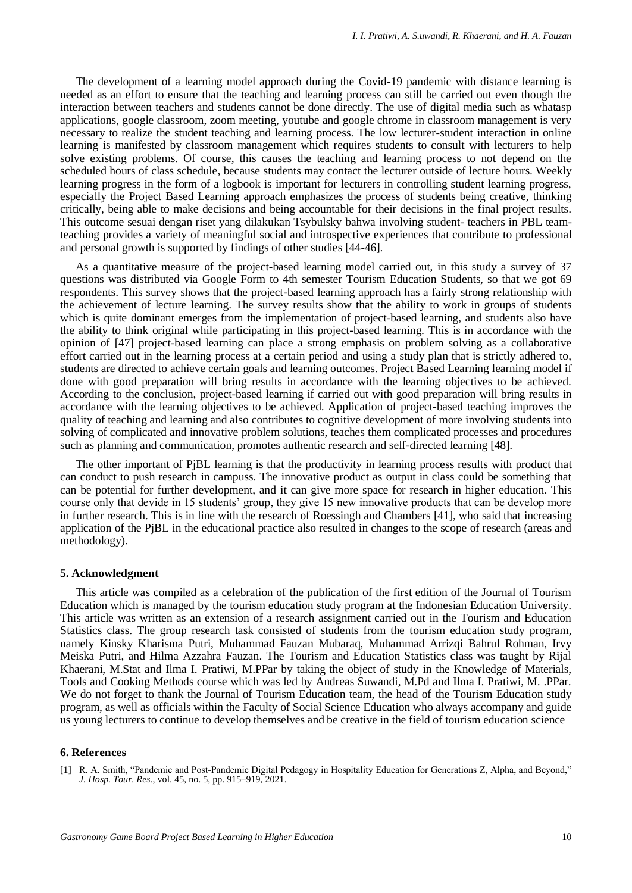The development of a learning model approach during the Covid-19 pandemic with distance learning is needed as an effort to ensure that the teaching and learning process can still be carried out even though the interaction between teachers and students cannot be done directly. The use of digital media such as whatasp applications, google classroom, zoom meeting, youtube and google chrome in classroom management is very necessary to realize the student teaching and learning process. The low lecturer-student interaction in online learning is manifested by classroom management which requires students to consult with lecturers to help solve existing problems. Of course, this causes the teaching and learning process to not depend on the scheduled hours of class schedule, because students may contact the lecturer outside of lecture hours. Weekly learning progress in the form of a logbook is important for lecturers in controlling student learning progress, especially the Project Based Learning approach emphasizes the process of students being creative, thinking critically, being able to make decisions and being accountable for their decisions in the final project results. This outcome sesuai dengan riset yang dilakukan Tsybulsky bahwa involving student- teachers in PBL teamteaching provides a variety of meaningful social and introspective experiences that contribute to professional and personal growth is supported by findings of other studies [44-46].

As a quantitative measure of the project-based learning model carried out, in this study a survey of 37 questions was distributed via Google Form to 4th semester Tourism Education Students, so that we got 69 respondents. This survey shows that the project-based learning approach has a fairly strong relationship with the achievement of lecture learning. The survey results show that the ability to work in groups of students which is quite dominant emerges from the implementation of project-based learning, and students also have the ability to think original while participating in this project-based learning. This is in accordance with the opinion of [47] project-based learning can place a strong emphasis on problem solving as a collaborative effort carried out in the learning process at a certain period and using a study plan that is strictly adhered to, students are directed to achieve certain goals and learning outcomes. Project Based Learning learning model if done with good preparation will bring results in accordance with the learning objectives to be achieved. According to the conclusion, project-based learning if carried out with good preparation will bring results in accordance with the learning objectives to be achieved. Application of project-based teaching improves the quality of teaching and learning and also contributes to cognitive development of more involving students into solving of complicated and innovative problem solutions, teaches them complicated processes and procedures such as planning and communication, promotes authentic research and self-directed learning [48].

The other important of PjBL learning is that the productivity in learning process results with product that can conduct to push research in campuss. The innovative product as output in class could be something that can be potential for further development, and it can give more space for research in higher education. This course only that devide in 15 students' group, they give 15 new innovative products that can be develop more in further research. This is in line with the research of Roessingh and Chambers [41], who said that increasing application of the PjBL in the educational practice also resulted in changes to the scope of research (areas and methodology).

#### **5. Acknowledgment**

This article was compiled as a celebration of the publication of the first edition of the Journal of Tourism Education which is managed by the tourism education study program at the Indonesian Education University. This article was written as an extension of a research assignment carried out in the Tourism and Education Statistics class. The group research task consisted of students from the tourism education study program, namely Kinsky Kharisma Putri, Muhammad Fauzan Mubaraq, Muhammad Arrizqi Bahrul Rohman, Irvy Meiska Putri, and Hilma Azzahra Fauzan. The Tourism and Education Statistics class was taught by Rijal Khaerani, M.Stat and Ilma I. Pratiwi, M.PPar by taking the object of study in the Knowledge of Materials, Tools and Cooking Methods course which was led by Andreas Suwandi, M.Pd and Ilma I. Pratiwi, M. .PPar. We do not forget to thank the Journal of Tourism Education team, the head of the Tourism Education study program, as well as officials within the Faculty of Social Science Education who always accompany and guide us young lecturers to continue to develop themselves and be creative in the field of tourism education science

#### **6. References**

[1] R. A. Smith, "Pandemic and Post-Pandemic Digital Pedagogy in Hospitality Education for Generations Z, Alpha, and Beyond," *J. Hosp. Tour. Res.*, vol. 45, no. 5, pp. 915–919, 2021.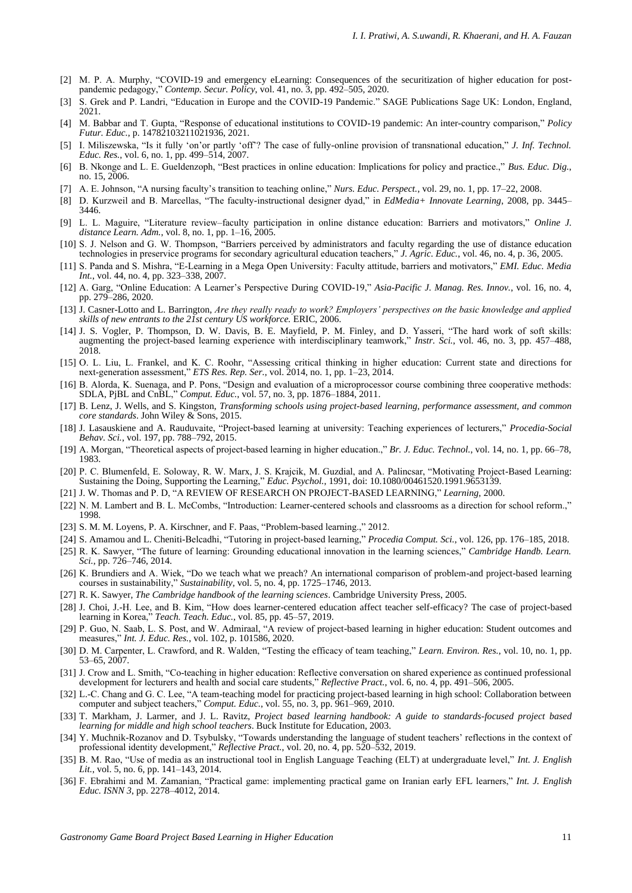- [2] M. P. A. Murphy, "COVID-19 and emergency eLearning: Consequences of the securitization of higher education for postpandemic pedagogy," *Contemp. Secur. Policy*, vol. 41, no. 3, pp. 492–505, 2020.
- [3] S. Grek and P. Landri, "Education in Europe and the COVID-19 Pandemic." SAGE Publications Sage UK: London, England, 2021.
- [4] M. Babbar and T. Gupta, "Response of educational institutions to COVID-19 pandemic: An inter-country comparison," *Policy Futur. Educ.*, p. 14782103211021936, 2021.
- [5] I. Miliszewska, "Is it fully 'on'or partly 'off'? The case of fully-online provision of transnational education," *J. Inf. Technol. Educ. Res.*, vol. 6, no. 1, pp. 499–514, 2007.
- [6] B. Nkonge and L. E. Gueldenzoph, "Best practices in online education: Implications for policy and practice.," *Bus. Educ. Dig.*, no. 15, 2006.
- [7] A. E. Johnson, "A nursing faculty's transition to teaching online," *Nurs. Educ. Perspect.*, vol. 29, no. 1, pp. 17–22, 2008.
- [8] D. Kurzweil and B. Marcellas, "The faculty-instructional designer dyad," in *EdMedia+ Innovate Learning*, 2008, pp. 3445– 3446.
- [9] L. L. Maguire, "Literature review–faculty participation in online distance education: Barriers and motivators," *Online J. distance Learn. Adm.*, vol. 8, no. 1, pp. 1–16, 2005.
- [10] S. J. Nelson and G. W. Thompson, "Barriers perceived by administrators and faculty regarding the use of distance education technologies in preservice programs for secondary agricultural education teachers," *J. Agric. Educ.*, vol. 46, no. 4, p. 36, 2005.
- [11] S. Panda and S. Mishra, "E‐Learning in a Mega Open University: Faculty attitude, barriers and motivators," *EMI. Educ. Media Int.*, vol. 44, no. 4, pp. 323–338, 2007.
- [12] A. Garg, "Online Education: A Learner's Perspective During COVID-19," *Asia-Pacific J. Manag. Res. Innov.*, vol. 16, no. 4, pp. 279–286, 2020.
- [13] J. Casner-Lotto and L. Barrington, *Are they really ready to work? Employers' perspectives on the basic knowledge and applied skills of new entrants to the 21st century US workforce.* ERIC, 2006.
- [14] J. S. Vogler, P. Thompson, D. W. Davis, B. E. Mayfield, P. M. Finley, and D. Yasseri, "The hard work of soft skills: augmenting the project-based learning experience with interdisciplinary teamwork," *Instr. Sci.*, vol. 46, no. 3, pp. 457–488, 2018.
- [15] O. L. Liu, L. Frankel, and K. C. Roohr, "Assessing critical thinking in higher education: Current state and directions for next‐generation assessment," *ETS Res. Rep. Ser.*, vol. 2014, no. 1, pp. 1–23, 2014.
- [16] B. Alorda, K. Suenaga, and P. Pons, "Design and evaluation of a microprocessor course combining three cooperative methods: SDLA, PjBL and CnBL," *Comput. Educ.*, vol. 57, no. 3, pp. 1876–1884, 2011.
- [17] B. Lenz, J. Wells, and S. Kingston, *Transforming schools using project-based learning, performance assessment, and common core standards*. John Wiley & Sons, 2015.
- [18] J. Lasauskiene and A. Rauduvaite, "Project-based learning at university: Teaching experiences of lecturers," *Procedia-Social Behav. Sci.*, vol. 197, pp. 788–792, 2015.
- [19] A. Morgan, "Theoretical aspects of project-based learning in higher education.," *Br. J. Educ. Technol.*, vol. 14, no. 1, pp. 66–78, 1983.
- [20] P. C. Blumenfeld, E. Soloway, R. W. Marx, J. S. Krajcik, M. Guzdial, and A. Palincsar, "Motivating Project-Based Learning: Sustaining the Doing, Supporting the Learning," *Educ. Psychol.*, 1991, doi: 10.1080/00461520.1991.9653139.
- [21] J. W. Thomas and P. D, "A REVIEW OF RESEARCH ON PROJECT-BASED LEARNING," *Learning*, 2000.
- [22] N. M. Lambert and B. L. McCombs, "Introduction: Learner-centered schools and classrooms as a direction for school reform.," 1998.
- [23] S. M. M. Loyens, P. A. Kirschner, and F. Paas, "Problem-based learning.," 2012.
- [24] S. Amamou and L. Cheniti-Belcadhi, "Tutoring in project-based learning," *Procedia Comput. Sci.*, vol. 126, pp. 176–185, 2018.
- [25] R. K. Sawyer, "The future of learning: Grounding educational innovation in the learning sciences," *Cambridge Handb. Learn. Sci.*, pp. 726–746, 2014.
- K. Brundiers and A. Wiek, "Do we teach what we preach? An international comparison of problem-and project-based learning courses in sustainability," *Sustainability*, vol. 5, no. 4, pp. 1725–1746, 2013.
- [27] R. K. Sawyer, *The Cambridge handbook of the learning sciences*. Cambridge University Press, 2005.
- [28] J. Choi, J.-H. Lee, and B. Kim, "How does learner-centered education affect teacher self-efficacy? The case of project-based learning in Korea," *Teach. Teach. Educ.*, vol. 85, pp. 45–57, 2019.
- [29] P. Guo, N. Saab, L. S. Post, and W. Admiraal, "A review of project-based learning in higher education: Student outcomes and measures," *Int. J. Educ. Res.*, vol. 102, p. 101586, 2020.
- [30] D. M. Carpenter, L. Crawford, and R. Walden, "Testing the efficacy of team teaching," *Learn. Environ. Res.*, vol. 10, no. 1, pp. 53–65, 2007.
- [31] J. Crow and L. Smith, "Co-teaching in higher education: Reflective conversation on shared experience as continued professional development for lecturers and health and social care students," Reflective Pract., vol. 6, no. 4, pp. 491-506, 2005.
- [32] L.-C. Chang and G. C. Lee, "A team-teaching model for practicing project-based learning in high school: Collaboration between computer and subject teachers," *Comput. Educ.*, vol. 55, no. 3, pp. 961–969, 2010.
- [33] T. Markham, J. Larmer, and J. L. Ravitz, Project based learning handbook: A guide to standards-focused project based *learning for middle and high school teachers*. Buck Institute for Education, 2003.
- [34] Y. Muchnik-Rozanov and D. Tsybulsky, "Towards understanding the language of student teachers' reflections in the context of professional identity development," *Reflective Pract.*, vol. 20, no. 4, pp. 520–532, 2019.
- [35] B. M. Rao, "Use of media as an instructional tool in English Language Teaching (ELT) at undergraduate level," *Int. J. English Lit.*, vol. 5, no. 6, pp. 141–143, 2014.
- [36] F. Ebrahimi and M. Zamanian, "Practical game: implementing practical game on Iranian early EFL learners," *Int. J. English Educ. ISNN 3*, pp. 2278–4012, 2014.